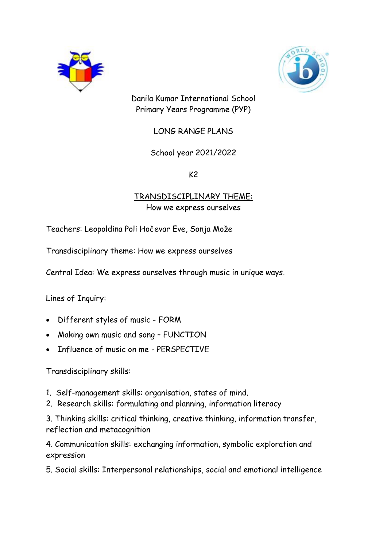



Danila Kumar International School Primary Years Programme (PYP)

LONG RANGE PLANS

# School year 2021/2022

 $K<sub>2</sub>$ 

## TRANSDISCIPLINARY THEME: How we express ourselves

Teachers: Leopoldina Poli Hočevar Eve, Sonja Može

Transdisciplinary theme: How we express ourselves

Central Idea: We express ourselves through music in unique ways.

Lines of Inquiry:

- Different styles of music FORM
- Making own music and song FUNCTION
- Influence of music on me PERSPECTIVE

Transdisciplinary skills:

- 1. Self-management skills: organisation, states of mind.
- 2. Research skills: formulating and planning, information literacy

3. Thinking skills: critical thinking, creative thinking, information transfer, reflection and metacognition

4. Communication skills: exchanging information, symbolic exploration and expression

5. Social skills: Interpersonal relationships, social and emotional intelligence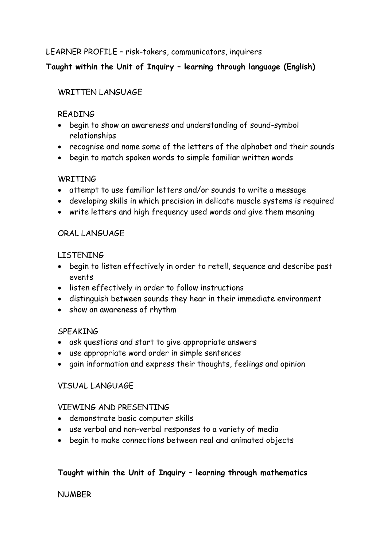LEARNER PROFILE – risk-takers, communicators, inquirers

# **Taught within the Unit of Inquiry – learning through language (English)**

# WRITTEN LANGUAGE

## READING

- begin to show an awareness and understanding of sound-symbol relationships
- recognise and name some of the letters of the alphabet and their sounds
- begin to match spoken words to simple familiar written words

## **WRTTTNG**

- attempt to use familiar letters and/or sounds to write a message
- developing skills in which precision in delicate muscle systems is required
- write letters and high frequency used words and give them meaning

# ORAL LANGUAGE

## LISTENING

- begin to listen effectively in order to retell, sequence and describe past events
- listen effectively in order to follow instructions
- distinguish between sounds they hear in their immediate environment
- show an awareness of rhythm

## **SPEAKING**

- ask questions and start to give appropriate answers
- use appropriate word order in simple sentences
- gain information and express their thoughts, feelings and opinion

# VISUAL LANGUAGE

## VIEWING AND PRESENTING

- demonstrate basic computer skills
- use verbal and non-verbal responses to a variety of media
- begin to make connections between real and animated objects

# **Taught within the Unit of Inquiry – learning through mathematics**

## NUMBER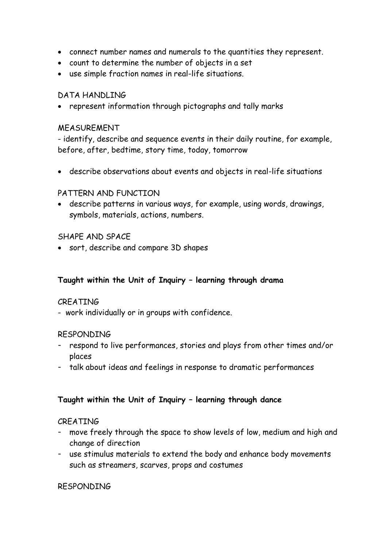- connect number names and numerals to the quantities they represent.
- count to determine the number of objects in a set
- use simple fraction names in real-life situations.

#### DATA HANDLING

represent information through pictographs and tally marks

#### MEASUREMENT

- identify, describe and sequence events in their daily routine, for example, before, after, bedtime, story time, today, tomorrow

describe observations about events and objects in real-life situations

### PATTERN AND FUNCTION

 describe patterns in various ways, for example, using words, drawings, symbols, materials, actions, numbers.

### SHAPE AND SPACE

sort, describe and compare 3D shapes

#### **Taught within the Unit of Inquiry – learning through drama**

#### **CREATING**

- work individually or in groups with confidence.

#### RESPONDING

- respond to live performances, stories and plays from other times and/or places
- talk about ideas and feelings in response to dramatic performances

## **Taught within the Unit of Inquiry – learning through dance**

#### CREATING

- move freely through the space to show levels of low, medium and high and change of direction
- use stimulus materials to extend the body and enhance body movements such as streamers, scarves, props and costumes

#### RESPONDING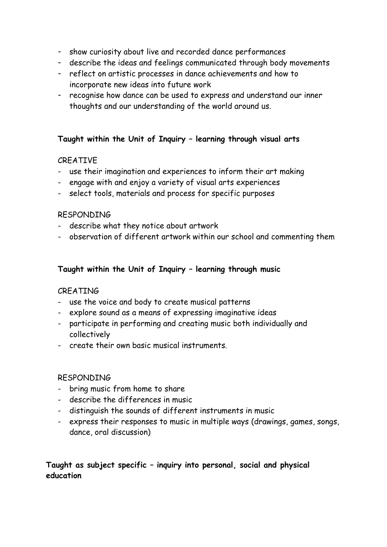- show curiosity about live and recorded dance performances
- describe the ideas and feelings communicated through body movements
- reflect on artistic processes in dance achievements and how to incorporate new ideas into future work
- recognise how dance can be used to express and understand our inner thoughts and our understanding of the world around us.

### **Taught within the Unit of Inquiry – learning through visual arts**

### CREATIVE

- use their imagination and experiences to inform their art making
- engage with and enjoy a variety of visual arts experiences
- select tools, materials and process for specific purposes

#### RESPONDING

- describe what they notice about artwork
- observation of different artwork within our school and commenting them

### **Taught within the Unit of Inquiry – learning through music**

#### CREATING

- use the voice and body to create musical patterns
- explore sound as a means of expressing imaginative ideas
- participate in performing and creating music both individually and collectively
- create their own basic musical instruments.

#### RESPONDING

- bring music from home to share
- describe the differences in music
- distinguish the sounds of different instruments in music
- express their responses to music in multiple ways (drawings, games, songs, dance, oral discussion)

## **Taught as subject specific – inquiry into personal, social and physical education**